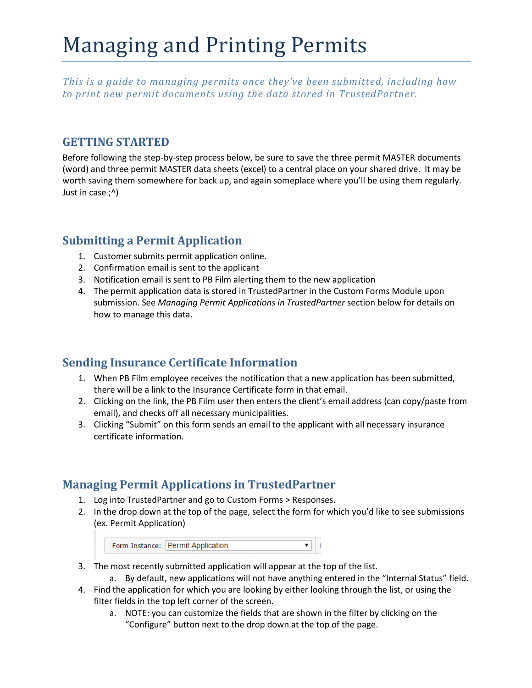# Managing and Printing Permits

*This is a guide to managing permits once they've been submitted, including how to print new permit documents using the data stored in TrustedPartner.*

#### **GETTING STARTED**

Before following the step-by-step process below, be sure to save the three permit MASTER documents (word) and three permit MASTER data sheets (excel) to a central place on your shared drive. It may be worth saving them somewhere for back up, and again someplace where you'll be using them regularly. Just in case ;^)

## **Submitting a Permit Application**

- 1. Customer submits permit application online.
- 2. Confirmation email is sent to the applicant
- 3. Notification email is sent to PB Film alerting them to the new application
- 4. The permit application data is stored in TrustedPartner in the Custom Forms Module upon submission. See *Managing Permit Applications in TrustedPartner* section below for details on how to manage this data.

## **Sending Insurance Certificate Information**

- 1. When PB Film employee receives the notification that a new application has been submitted, there will be a link to the Insurance Certificate form in that email.
- 2. Clicking on the link, the PB Film user then enters the client's email address (can copy/paste from email), and checks off all necessary municipalities.
- 3. Clicking "Submit" on this form sends an email to the applicant with all necessary insurance certificate information.

## **Managing Permit Applications in TrustedPartner**

- 1. Log into TrustedPartner and go to Custom Forms > Responses.
- 2. In the drop down at the top of the page, select the form for which you'd like to see submissions (ex. Permit Application)

| Form Instance: Permit Application |  |
|-----------------------------------|--|
|                                   |  |

- 3. The most recently submitted application will appear at the top of the list.
	- a. By default, new applications will not have anything entered in the "Internal Status" field.
- 4. Find the application for which you are looking by either looking through the list, or using the filter fields in the top left corner of the screen.
	- a. NOTE: you can customize the fields that are shown in the filter by clicking on the "Configure" button next to the drop down at the top of the page.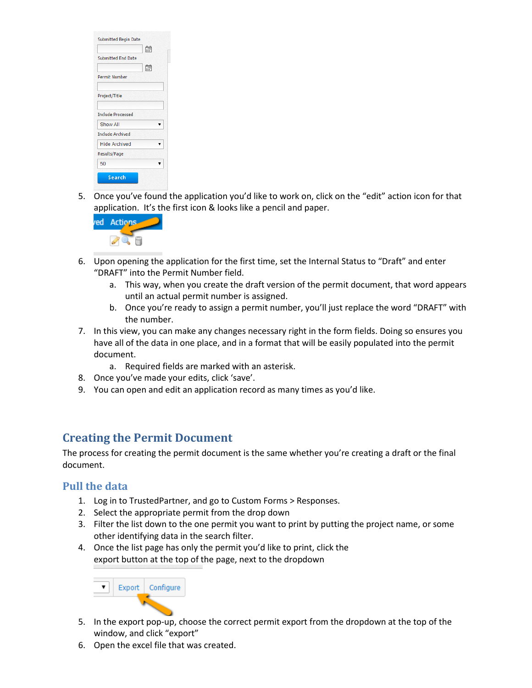| <b>Submitted Begin Date</b><br>當 |  |
|----------------------------------|--|
| <b>Submitted End Date</b>        |  |
| 僵<br><b>Permit Number</b>        |  |
| Project/Title                    |  |
| <b>Include Processed</b>         |  |
| Show All                         |  |
| <b>Include Archived</b>          |  |
| <b>Hide Archived</b>             |  |
| <b>Results/Page</b>              |  |
| 50                               |  |
| <b>Search</b>                    |  |

5. Once you've found the application you'd like to work on, click on the "edit" action icon for that application. It's the first icon & looks like a pencil and paper.



- 6. Upon opening the application for the first time, set the Internal Status to "Draft" and enter "DRAFT" into the Permit Number field.
	- a. This way, when you create the draft version of the permit document, that word appears until an actual permit number is assigned.
	- b. Once you're ready to assign a permit number, you'll just replace the word "DRAFT" with the number.
- 7. In this view, you can make any changes necessary right in the form fields. Doing so ensures you have all of the data in one place, and in a format that will be easily populated into the permit document.
	- a. Required fields are marked with an asterisk.
- 8. Once you've made your edits, click 'save'.
- 9. You can open and edit an application record as many times as you'd like.

## **Creating the Permit Document**

The process for creating the permit document is the same whether you're creating a draft or the final document.

#### **Pull the data**

- 1. Log in to TrustedPartner, and go to Custom Forms > Responses.
- 2. Select the appropriate permit from the drop down
- 3. Filter the list down to the one permit you want to print by putting the project name, or some other identifying data in the search filter.
- 4. Once the list page has only the permit you'd like to print, click the export button at the top of the page, next to the dropdown



- 5. In the export pop-up, choose the correct permit export from the dropdown at the top of the window, and click "export"
- 6. Open the excel file that was created.